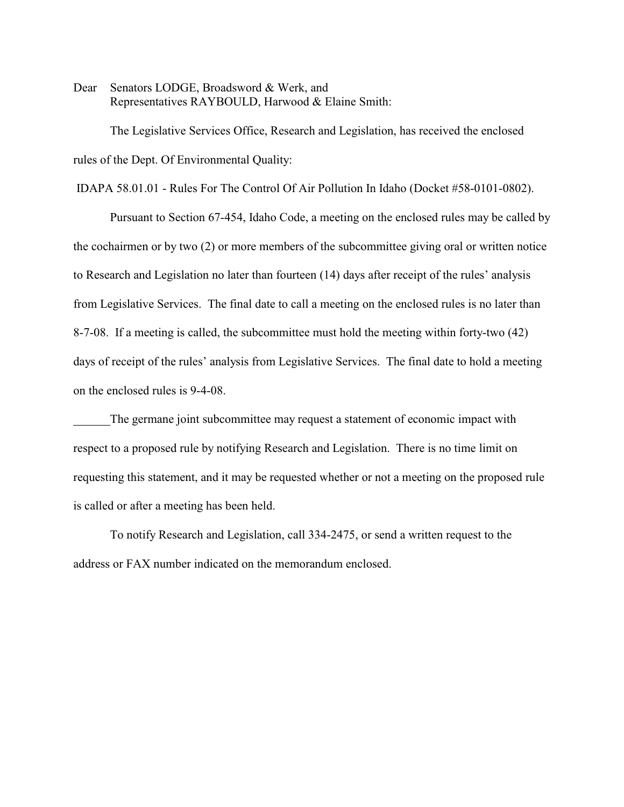Dear Senators LODGE, Broadsword & Werk, and Representatives RAYBOULD, Harwood & Elaine Smith:

The Legislative Services Office, Research and Legislation, has received the enclosed rules of the Dept. Of Environmental Quality:

IDAPA 58.01.01 - Rules For The Control Of Air Pollution In Idaho (Docket #58-0101-0802).

Pursuant to Section 67-454, Idaho Code, a meeting on the enclosed rules may be called by the cochairmen or by two (2) or more members of the subcommittee giving oral or written notice to Research and Legislation no later than fourteen (14) days after receipt of the rules' analysis from Legislative Services. The final date to call a meeting on the enclosed rules is no later than 8-7-08. If a meeting is called, the subcommittee must hold the meeting within forty-two (42) days of receipt of the rules' analysis from Legislative Services. The final date to hold a meeting on the enclosed rules is 9-4-08.

The germane joint subcommittee may request a statement of economic impact with respect to a proposed rule by notifying Research and Legislation. There is no time limit on requesting this statement, and it may be requested whether or not a meeting on the proposed rule is called or after a meeting has been held.

To notify Research and Legislation, call 334-2475, or send a written request to the address or FAX number indicated on the memorandum enclosed.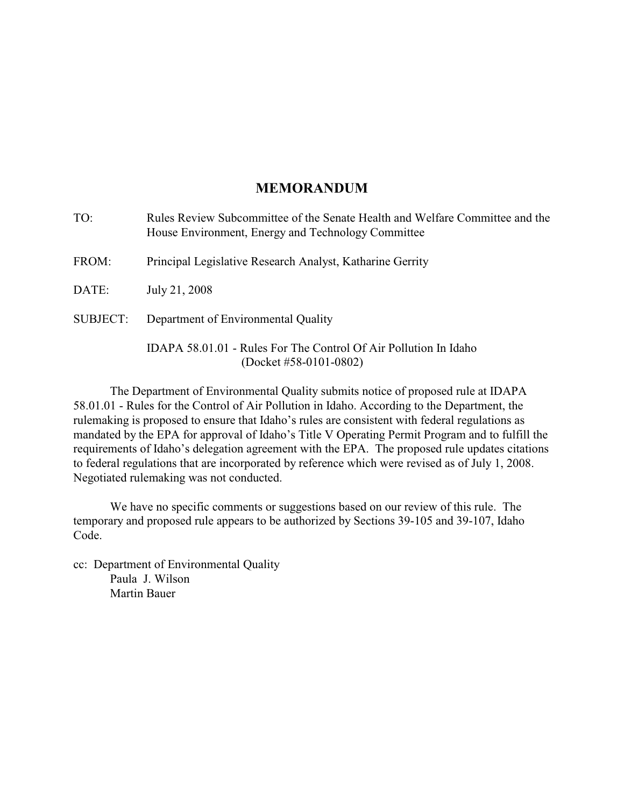## **MEMORANDUM**

| TO:      | Rules Review Subcommittee of the Senate Health and Welfare Committee and the<br>House Environment, Energy and Technology Committee |
|----------|------------------------------------------------------------------------------------------------------------------------------------|
| FROM:    | Principal Legislative Research Analyst, Katharine Gerrity                                                                          |
| DATE:    | July 21, 2008                                                                                                                      |
| SUBJECT: | Department of Environmental Quality                                                                                                |
|          | IDAPA 58.01.01 - Rules For The Control Of Air Pollution In Idaho<br>(Docket #58-0101-0802)                                         |

The Department of Environmental Quality submits notice of proposed rule at IDAPA 58.01.01 - Rules for the Control of Air Pollution in Idaho. According to the Department, the rulemaking is proposed to ensure that Idaho's rules are consistent with federal regulations as mandated by the EPA for approval of Idaho's Title V Operating Permit Program and to fulfill the requirements of Idaho's delegation agreement with the EPA. The proposed rule updates citations to federal regulations that are incorporated by reference which were revised as of July 1, 2008. Negotiated rulemaking was not conducted.

We have no specific comments or suggestions based on our review of this rule. The temporary and proposed rule appears to be authorized by Sections 39-105 and 39-107, Idaho Code.

cc: Department of Environmental Quality Paula J. Wilson Martin Bauer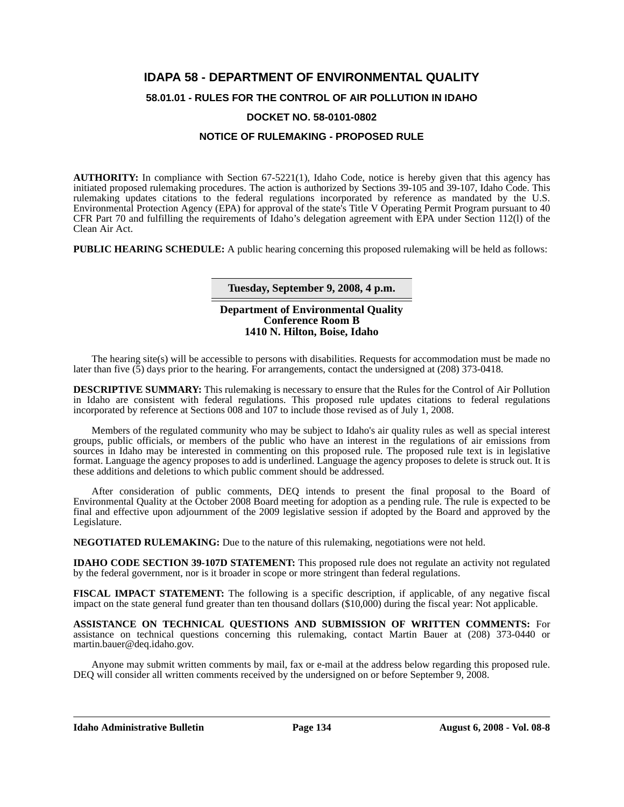# **IDAPA 58 - DEPARTMENT OF ENVIRONMENTAL QUALITY**

**58.01.01 - RULES FOR THE CONTROL OF AIR POLLUTION IN IDAHO**

## **DOCKET NO. 58-0101-0802**

## **NOTICE OF RULEMAKING - PROPOSED RULE**

**AUTHORITY:** In compliance with Section 67-5221(1), Idaho Code, notice is hereby given that this agency has initiated proposed rulemaking procedures. The action is authorized by Sections 39-105 and 39-107, Idaho Code. This rulemaking updates citations to the federal regulations incorporated by reference as mandated by the U.S. Environmental Protection Agency (EPA) for approval of the state's Title V Operating Permit Program pursuant to 40 CFR Part 70 and fulfilling the requirements of Idaho's delegation agreement with EPA under Section 112(l) of the Clean Air Act.

**PUBLIC HEARING SCHEDULE:** A public hearing concerning this proposed rulemaking will be held as follows:

**Tuesday, September 9, 2008, 4 p.m.**

### **Department of Environmental Quality Conference Room B 1410 N. Hilton, Boise, Idaho**

The hearing site(s) will be accessible to persons with disabilities. Requests for accommodation must be made no later than five (5) days prior to the hearing. For arrangements, contact the undersigned at (208) 373-0418.

**DESCRIPTIVE SUMMARY:** This rulemaking is necessary to ensure that the Rules for the Control of Air Pollution in Idaho are consistent with federal regulations. This proposed rule updates citations to federal regulations incorporated by reference at Sections 008 and 107 to include those revised as of July 1, 2008.

Members of the regulated community who may be subject to Idaho's air quality rules as well as special interest groups, public officials, or members of the public who have an interest in the regulations of air emissions from sources in Idaho may be interested in commenting on this proposed rule. The proposed rule text is in legislative format. Language the agency proposes to add is underlined. Language the agency proposes to delete is struck out. It is these additions and deletions to which public comment should be addressed.

After consideration of public comments, DEQ intends to present the final proposal to the Board of Environmental Quality at the October 2008 Board meeting for adoption as a pending rule. The rule is expected to be final and effective upon adjournment of the 2009 legislative session if adopted by the Board and approved by the Legislature.

**NEGOTIATED RULEMAKING:** Due to the nature of this rulemaking, negotiations were not held.

**IDAHO CODE SECTION 39-107D STATEMENT:** This proposed rule does not regulate an activity not regulated by the federal government, nor is it broader in scope or more stringent than federal regulations.

**FISCAL IMPACT STATEMENT:** The following is a specific description, if applicable, of any negative fiscal impact on the state general fund greater than ten thousand dollars (\$10,000) during the fiscal year: Not applicable.

**ASSISTANCE ON TECHNICAL QUESTIONS AND SUBMISSION OF WRITTEN COMMENTS:** For assistance on technical questions concerning this rulemaking, contact Martin Bauer at (208) 373-0440 or martin.bauer@deq.idaho.gov.

Anyone may submit written comments by mail, fax or e-mail at the address below regarding this proposed rule. DEQ will consider all written comments received by the undersigned on or before September 9, 2008.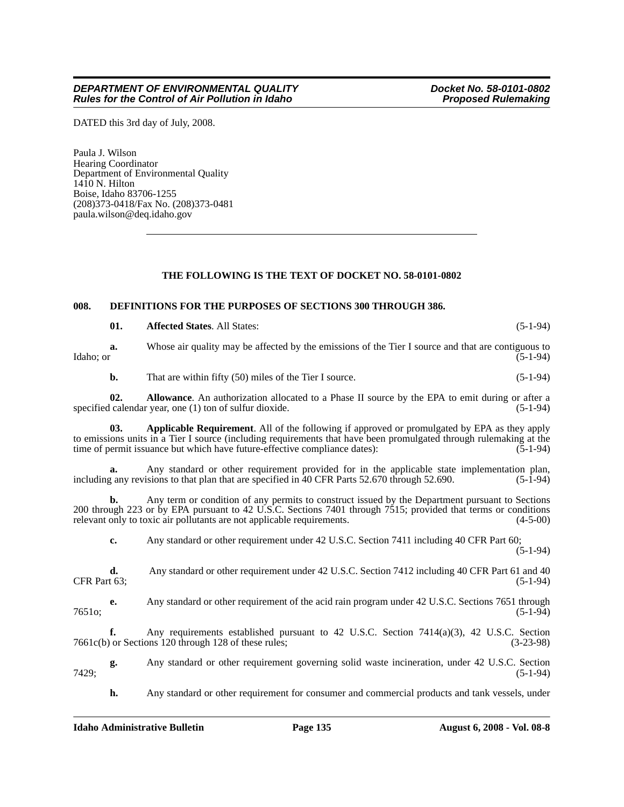DATED this 3rd day of July, 2008.

Paula J. Wilson Hearing Coordinator Department of Environmental Quality  $1410$  N. Hilton Boise, Idaho 83706-1255 (208)373-0418/Fax No. (208)373-0481 paula.wilson@deq.idaho.gov

### **THE FOLLOWING IS THE TEXT OF DOCKET NO. 58-0101-0802**

## **008. DEFINITIONS FOR THE PURPOSES OF SECTIONS 300 THROUGH 386.**

|                     | 01. | <b>Affected States. All States:</b>                                                                                                                                                                                                                                                              | $(5-1-94)$  |
|---------------------|-----|--------------------------------------------------------------------------------------------------------------------------------------------------------------------------------------------------------------------------------------------------------------------------------------------------|-------------|
| Idaho; or           | a.  | Whose air quality may be affected by the emissions of the Tier I source and that are contiguous to                                                                                                                                                                                               | $(5-1-94)$  |
|                     | b.  | That are within fifty (50) miles of the Tier I source.                                                                                                                                                                                                                                           | $(5-1-94)$  |
|                     | 02. | Allowance. An authorization allocated to a Phase II source by the EPA to emit during or after a<br>specified calendar year, one (1) ton of sulfur dioxide.                                                                                                                                       | $(5-1-94)$  |
|                     | 03. | Applicable Requirement. All of the following if approved or promulgated by EPA as they apply<br>to emissions units in a Tier I source (including requirements that have been promulgated through rulemaking at the<br>time of permit issuance but which have future-effective compliance dates): | $(5-1-94)$  |
|                     | а.  | Any standard or other requirement provided for in the applicable state implementation plan,<br>including any revisions to that plan that are specified in 40 CFR Parts 52.670 through 52.690.                                                                                                    | $(5-1-94)$  |
|                     | b.  | Any term or condition of any permits to construct issued by the Department pursuant to Sections<br>200 through 223 or by EPA pursuant to 42 U.S.C. Sections 7401 through 7515; provided that terms or conditions<br>relevant only to toxic air pollutants are not applicable requirements.       | $(4-5-00)$  |
|                     | c.  | Any standard or other requirement under 42 U.S.C. Section 7411 including 40 CFR Part 60;                                                                                                                                                                                                         | $(5-1-94)$  |
| CFR Part 63;        | d.  | Any standard or other requirement under 42 U.S.C. Section 7412 including 40 CFR Part 61 and 40                                                                                                                                                                                                   | $(5-1-94)$  |
| 7651 <sub>o</sub> : | e.  | Any standard or other requirement of the acid rain program under 42 U.S.C. Sections 7651 through                                                                                                                                                                                                 | $(5-1-94)$  |
|                     | f.  | Any requirements established pursuant to 42 U.S.C. Section $7414(a)(3)$ , 42 U.S.C. Section<br>7661c(b) or Sections 120 through 128 of these rules;                                                                                                                                              | $(3-23-98)$ |
| 7429;               | g.  | Any standard or other requirement governing solid waste incineration, under 42 U.S.C. Section                                                                                                                                                                                                    | $(5-1-94)$  |

7429; (5-1-94)

**h.** Any standard or other requirement for consumer and commercial products and tank vessels, under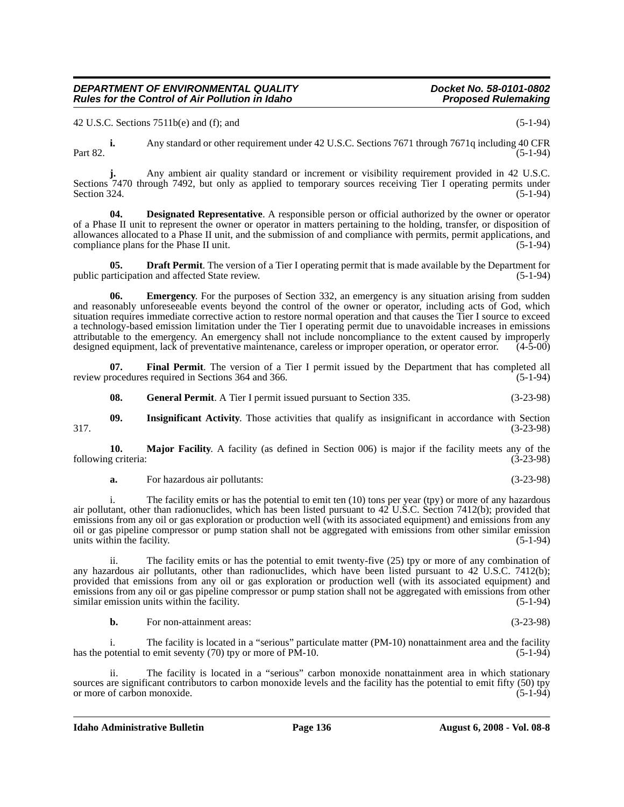compliance plans for the Phase II unit.

public participation and affected State review.

has the potential to emit seventy (70) tpy or more of PM-10. (5-1-94)

ii. The facility is located in a "serious" carbon monoxide nonattainment area in which stationary sources are significant contributors to carbon monoxide levels and the facility has the potential to emit fifty (50) tpy or more of carbon monoxide. (5-1-94)

**Idaho Administrative Bulletin Page 136 August 6, 2008 - Vol. 08-8**

## **b.** For non-attainment areas: (3-23-98)

i. The facility emits or has the potential to emit ten (10) tons per year (tpy) or more of any hazardous air pollutant, other than radionuclides, which has been listed pursuant to 42 U.S.C. Section 7412(b); provided that emissions from any oil or gas exploration or production well (with its associated equipment) and emissions from any oil or gas pipeline compressor or pump station shall not be aggregated with emissions from other similar emission units within the facility. (5-1-94)

any hazardous air pollutants, other than radionuclides, which have been listed pursuant to 42 U.S.C. 7412(b); provided that emissions from any oil or gas exploration or production well (with its associated equipment) and emissions from any oil or gas pipeline compressor or pump station shall not be aggregated with emissions from other similar emission units within the facility. (5-1-94)

ii. The facility emits or has the potential to emit twenty-five (25) tpy or more of any combination of

i. The facility is located in a "serious" particulate matter (PM-10) nonattainment area and the facility

**10. Major Facility**. A facility (as defined in Section 006) is major if the facility meets any of the following criteria: (3-23-98)

and reasonably unforeseeable events beyond the control of the owner or operator, including acts of God, which situation requires immediate corrective action to restore normal operation and that causes the Tier I source to exceed a technology-based emission limitation under the Tier I operating permit due to unavoidable increases in emissions attributable to the emergency. An emergency shall not include noncompliance to the extent caused by improperly designed equipment, lack of preventative maintenance, careless or improper operation, or operator error.

**i.** Any standard or other requirement under 42 U.S.C. Sections 7671 through 7671q including 40 CFR Part 82. (5-1-94)

**04. Designated Representative**. A responsible person or official authorized by the owner or operator

**05. Draft Permit**. The version of a Tier I operating permit that is made available by the Department for articipation and affected State review. (5-1-94)

**Emergency**. For the purposes of Section 332, an emergency is any situation arising from sudden

Sections 7470 through 7492, but only as applied to temporary sources receiving Tier I operating permits under<br>Section 324. (5-1-94) Section 324.  $(5-1-94)$ 

of a Phase II unit to represent the owner or operator in matters pertaining to the holding, transfer, or disposition of allowances allocated to a Phase II unit, and the submission of and compliance with permits, permit applications, and

Any ambient air quality standard or increment or visibility requirement provided in 42 U.S.C.

**07.** Final Permit. The version of a Tier I permit issued by the Department that has completed all rocedures required in Sections 364 and 366.

review procedures required in Sections 364 and 366.

**08.** General Permit. A Tier I permit issued pursuant to Section 335. (3-23-98)

**09. Insignificant Activity**. Those activities that qualify as insignificant in accordance with Section

317. (3-23-98)

## *DEPARTMENT OF ENVIRONMENTAL QUALITY* Department of the Control of Air Pollution in Idaho<br>Rules for the Control of Air Pollution in Idaho *Rules for the Control of Air Pollution in Idaho* 42 U.S.C. Sections  $7511b(e)$  and (f); and (f) (5-1-94)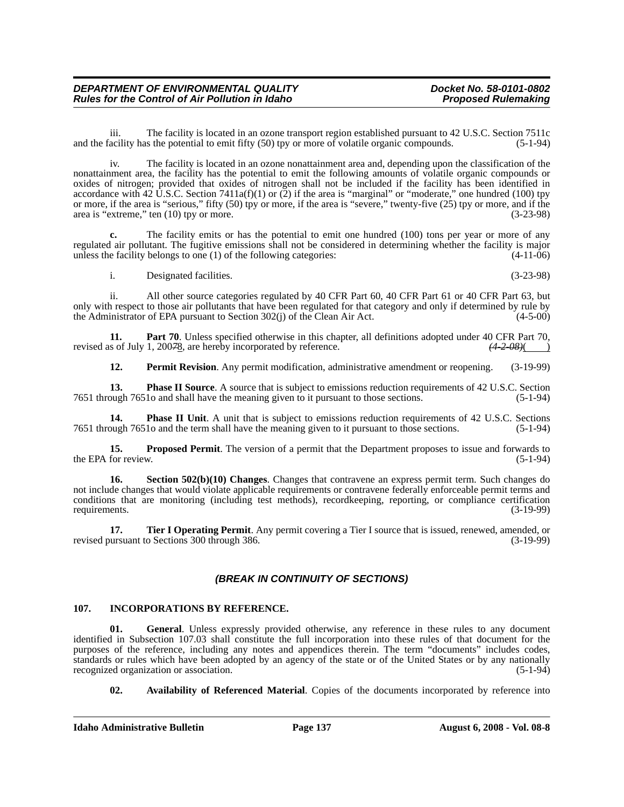iii. The facility is located in an ozone transport region established pursuant to 42 U.S.C. Section 7511c and the facility has the potential to emit fifty (50) tpy or more of volatile organic compounds. (5-1-94)

iv. The facility is located in an ozone nonattainment area and, depending upon the classification of the nonattainment area, the facility has the potential to emit the following amounts of volatile organic compounds or oxides of nitrogen; provided that oxides of nitrogen shall not be included if the facility has been identified in accordance with 42 U.S.C. Section 7411a(f)(1) or  $(2)$  if the area is "marginal" or "moderate," one hundred (100) tpy or more, if the area is "serious," fifty (50) tpy or more, if the area is "severe," twenty-five (25) tpy or more, and if the area is "extreme," ten  $(10)$  tpy or more. (3-23-98)

**c.** The facility emits or has the potential to emit one hundred (100) tons per year or more of any regulated air pollutant. The fugitive emissions shall not be considered in determining whether the facility is major unless the facility belongs to one (1) of the following categories: (4-11-06)

i. Designated facilities. (3-23-98)

ii. All other source categories regulated by 40 CFR Part 60, 40 CFR Part 61 or 40 CFR Part 63, but only with respect to those air pollutants that have been regulated for that category and only if determined by rule by the Administrator of EPA pursuant to Section 302(i) of the Clean Air Act. (4-5-00) the Administrator of EPA pursuant to Section  $302(j)$  of the Clean Air Act.

**11. Part 70**. Unless specified otherwise in this chapter, all definitions adopted under 40 CFR Part 70, s of July 1, 20078, are hereby incorporated by reference.  $(42.08)(1)$ revised as of July 1, 200*7*8, are hereby incorporated by reference.

**12. Permit Revision**. Any permit modification, administrative amendment or reopening. (3-19-99)

**13. Phase II Source**. A source that is subject to emissions reduction requirements of 42 U.S.C. Section ough 76510 and shall have the meaning given to it pursuant to those sections. (5-1-94) 7651 through 7651o and shall have the meaning given to it pursuant to those sections.

**14. Phase II Unit**. A unit that is subject to emissions reduction requirements of 42 U.S.C. Sections puch 76510 and the term shall have the meaning given to it pursuant to those sections. (5-1-94) 7651 through 7651o and the term shall have the meaning given to it pursuant to those sections.

**15. Proposed Permit**. The version of a permit that the Department proposes to issue and forwards to the EPA for review.  $(5-1-94)$ 

**16. Section 502(b)(10) Changes**. Changes that contravene an express permit term. Such changes do not include changes that would violate applicable requirements or contravene federally enforceable permit terms and conditions that are monitoring (including test methods), recordkeeping, reporting, or compliance certification requirements. (3-19-99)

**17. Tier I Operating Permit**. Any permit covering a Tier I source that is issued, renewed, amended, or revised pursuant to Sections 300 through 386. (3-19-99)

## *(BREAK IN CONTINUITY OF SECTIONS)*

### **107. INCORPORATIONS BY REFERENCE.**

**01. General**. Unless expressly provided otherwise, any reference in these rules to any document identified in Subsection 107.03 shall constitute the full incorporation into these rules of that document for the purposes of the reference, including any notes and appendices therein. The term "documents" includes codes, standards or rules which have been adopted by an agency of the state or of the United States or by any nationally recognized organization or association. (5-1-94)

**02. Availability of Referenced Material**. Copies of the documents incorporated by reference into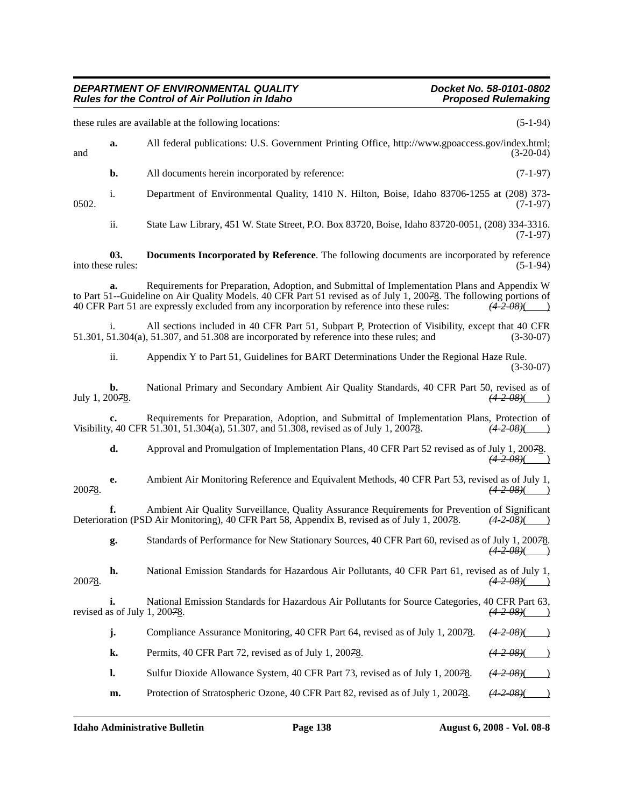## *DEPARTMENT OF ENVIRONMENTAL QUALITY* Department of the Control of Air Pollution in Idaho<br>Rules for the Control of Air Pollution in Idaho *Rules for the Control of Air Pollution in Idaho*

these rules are available at the following locations: (5-1-94) **a.** All federal publications: U.S. Government Printing Office, http://www.gpoaccess.gov/index.html; and (3-20-04) (3-20-04) **b.** All documents herein incorporated by reference: (7-1-97) i. Department of Environmental Quality, 1410 N. Hilton, Boise, Idaho 83706-1255 at (208) 373- 0502. (7-1-97) ii. State Law Library, 451 W. State Street, P.O. Box 83720, Boise, Idaho 83720-0051, (208) 334-3316. (7-1-97) **03. Documents Incorporated by Reference**. The following documents are incorporated by reference into these rules: (5-1-94) **a.** Requirements for Preparation, Adoption, and Submittal of Implementation Plans and Appendix W to Part 51--Guideline on Air Quality Models. 40 CFR Part 51 revised as of July 1, 200<del>7</del>8. The following portions of 40 CFR Part 51 are expressly excluded from any incorporation by reference into these rules:  $(4-2-0.8)($ 40 CFR Part 51 are expressly excluded from any incorporation by reference into these rules: *(4-2-08)*( ) All sections included in 40 CFR Part 51, Subpart P, Protection of Visibility, except that 40 CFR 51.301, 51.304(a), 51.307, and 51.308 are incorporated by reference into these rules; and (3-30-07) ii. Appendix Y to Part 51, Guidelines for BART Determinations Under the Regional Haze Rule. (3-30-07) **b.** National Primary and Secondary Ambient Air Quality Standards, 40 CFR Part 50, revised as of July 1, 200*7*8. *(4-2-08)*( ) **c.** Requirements for Preparation, Adoption, and Submittal of Implementation Plans, Protection of Visibility, 40 CFR 51.301, 51.304(a), 51.307, and 51.308, revised as of July 1, 200*7*8. *(4-2-08)*( ) **d.** Approval and Promulgation of Implementation Plans, 40 CFR Part 52 revised as of July 1, 200*7*8. *(4-2-08)*( ) **e.** Ambient Air Monitoring Reference and Equivalent Methods, 40 CFR Part 53, revised as of July 1,  $\frac{(4-2-0.8)}{(4-2-0.8)}$ 200*7*8. *(4-2-08)*( ) **f.** Ambient Air Quality Surveillance, Quality Assurance Requirements for Prevention of Significant ation (PSD Air Monitoring), 40 CFR Part 58, Appendix B, revised as of July 1, 20078.  $\left(42-0.0676\right)$ Deterioration (PSD Air Monitoring), 40 CFR Part 58, Appendix B, revised as of July 1, 200*7*8. *(4-2-08)*( ) **g.** Standards of Performance for New Stationary Sources, 40 CFR Part 60, revised as of July 1, 200*7*8.  $(4 - 2 - 08)$ **h.** National Emission Standards for Hazardous Air Pollutants, 40 CFR Part 61, revised as of July 1,  $\frac{(4-2-0.8)(1)}{(4-2-0.8)(1)}$ 200*7*8. *(4-2-08)*( ) **i.** National Emission Standards for Hazardous Air Pollutants for Source Categories, 40 CFR Part 63, revised as of July 1, 200*7*8. *(4-2-08)*( ) **j.** Compliance Assurance Monitoring, 40 CFR Part 64, revised as of July 1, 200<del>7</del>8. *(4-2-08)*( **k.** Permits, 40 CFR Part 72, revised as of July 1, 20078. *(4-2-08)*( **l.** Sulfur Dioxide Allowance System, 40 CFR Part 73, revised as of July 1, 200*7*8. *(4-2-08)*( ) **m.** Protection of Stratospheric Ozone, 40 CFR Part 82, revised as of July 1, 20078.  $(4-2-08)($